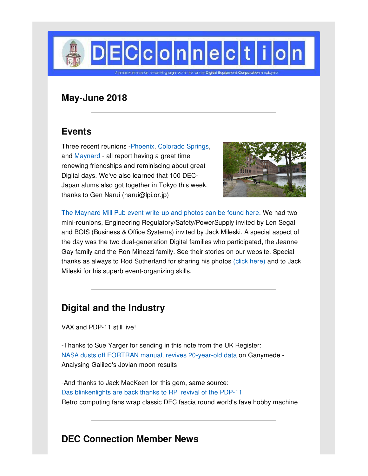

## **May-June 2018**

### **Events**

Three recent reunions [-Phoenix](http://decconnection.org/arizona.htm), [Colorado](http://decconnection.org/cxo.htm) Springs, and [Maynard](http://www.decconnection.org/events-MillPubMay18.htm) - all report having a great time renewing friendships and reminiscing about great Digital days. We've also learned that 100 DEC-Japan alums also got together in Tokyo this week, thanks to Gen Narui (narui@lpi.or.jp)



The [Maynard](http://www.decconnection.org/events-MillPubMay18.htm) Mill Pub event write-up and photos can be found here. We had two mini-reunions, Engineering Regulatory/Safety/PowerSupply invited by Len Segal and BOIS (Business & Office Systems) invited by Jack Mileski. A special aspect of the day was the two dual-generation Digital families who participated, the Jeanne Gay family and the Ron Minezzi family. See their stories on our website. Special thanks as always to Rod Sutherland for sharing his photos (click [here\)](https://photos.app.goo.gl/noe8K1bUQ2yeDbvY2) and to Jack Mileski for his superb event-organizing skills.

# **Digital and the Industry**

VAX and PDP-11 still live!

-Thanks to Sue Yarger for sending in this note from the UK Register: NASA dusts off FORTRAN manual, revives [20-year-old](http://www.theregister.co.uk/2018/05/01/fortran_data_galileo_ganymede_moon/) data on Ganymede - Analysing Galileo's Jovian moon results

-And thanks to Jack MacKeen for this gem, same source: Das [blinkenlights](https://www.theregister.co.uk/2018/05/21/raspberry_pi_pdp_11_revival) are back thanks to RPi revival of the PDP-11 Retro computing fans wrap classic DEC fascia round world's fave hobby machine

## **DEC Connection Member News**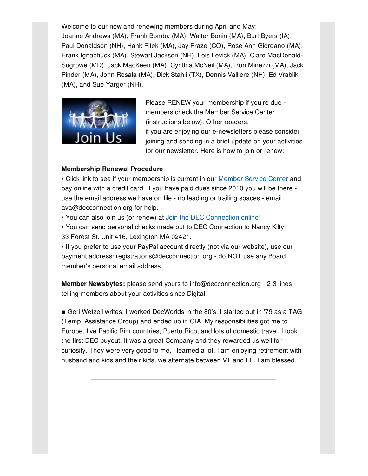Welcome to our new and renewing members during April and May: Joanne Andrews (MA), Frank Bomba (MA), Walter Bonin (MA), Burt Byers (IA), Paul Donaldson (NH), Hank Fitek (MA), Jay Fraze (CO), Rose Ann Giordano (MA), Frank Ignachuck (MA), Stewart Jackson (NH), Lois Levick (MA), Clare MacDonald-Sugrowe (MD), Jack MacKeen (MA), Cynthia McNeil (MA), Ron Minezzi (MA), Jack Pinder (MA), John Rosala (MA), Dick Stahli (TX), Dennis Valliere (NH), Ed Vrablik (MA), and Sue Yarger (NH).



Please RENEW your membership if you're due members check the Member Service Center (instructions below). Other readers, if you are enjoying our e-newsletters please consider joining and sending in a brief update on your activities for our newsletter. Here is how to join or renew:

#### **Membership Renewal Procedure**

• Click link to see if your membership is current in our [Member](http://www.decconnection.org/msclogin.php) Service Center and pay online with a credit card. If you have paid dues since 2010 you will be there use the email address we have on file - no leading or trailing spaces - email ava@decconnection.org for help.

• You can also join us (or renew) at Join the DEC [Connection](http://www.decconnection.org/join-online.htm) online!

• You can send personal checks made out to DEC Connection to Nancy Kilty, 33 Forest St. Unit 416, Lexington MA 02421.

• If you prefer to use your PayPal account directly (not via our website), use our payment address: registrations@decconnection.org - do NOT use any Board member's personal email address.

**Member Newsbytes:** please send yours to info@decconnection.org - 2-3 lines telling members about your activities since Digital.

■ Geri Wetzell writes: I worked DecWorlds in the 80's, I started out in '79 as a TAG (Temp. Assistance Group) and ended up in GIA. My responsibilities got me to Europe, five Pacific Rim countries, Puerto Rico, and lots of domestic travel. I took the first DEC buyout. It was a great Company and they rewarded us well for curiosity. They were very good to me, I learned a lot. I am enjoying retirement with husband and kids and their kids, we alternate between VT and FL. I am blessed.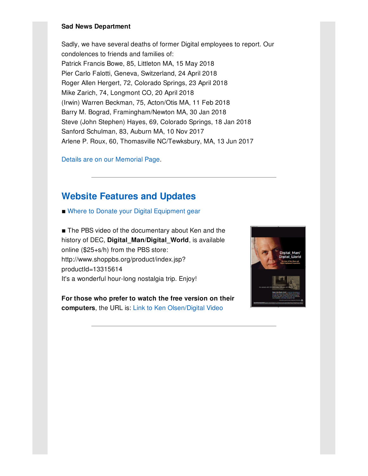#### **Sad News Department**

Sadly, we have several deaths of former Digital employees to report. Our condolences to friends and families of: Patrick Francis Bowe, 85, Littleton MA, 15 May 2018 Pier Carlo Falotti, Geneva, Switzerland, 24 April 2018 Roger Allen Hergert, 72, Colorado Springs, 23 April 2018 Mike Zarich, 74, Longmont CO, 20 April 2018 (Irwin) Warren Beckman, 75, Acton/Otis MA, 11 Feb 2018 Barry M. Bograd, Framingham/Newton MA, 30 Jan 2018 Steve (John Stephen) Hayes, 69, Colorado Springs, 18 Jan 2018 Sanford Schulman, 83, Auburn MA, 10 Nov 2017 Arlene P. Roux, 60, Thomasville NC/Tewksbury, MA, 13 Jun 2017

Details are on our [Memorial](http://www.decconnection.org/memorials.htm) Page.

### **Website [Features](http://www.decconnection.org) and Updates**

■ Where to Donate your Digital [Equipment](http://www.decconnection.org/DECdonations.htm) gear

■ The PBS video of the documentary about Ken and the history of DEC, **Digital\_Man/Digital\_World**, is available online (\$25+s/h) from the PBS store: http://www.shoppbs.org/product/index.jsp? productId=13315614 It's a wonderful hour-long nostalgia trip. Enjoy!

**For those who prefer to watch the free version on their computers**, the URL is: Link to Ken [Olsen/Digital](http://video.wfyi.org/video/2282149336/) Video